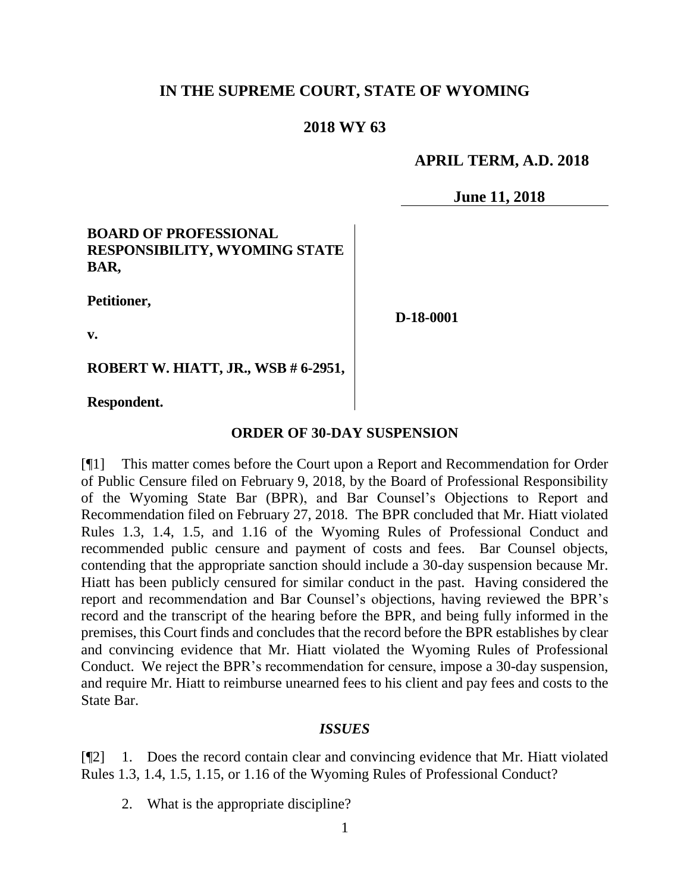### **IN THE SUPREME COURT, STATE OF WYOMING**

### **2018 WY 63**

### **APRIL TERM, A.D. 2018**

**June 11, 2018**

#### **BOARD OF PROFESSIONAL RESPONSIBILITY, WYOMING STATE BAR,**

**Petitioner,**

**D-18-0001**

**v.**

**ROBERT W. HIATT, JR., WSB # 6-2951,**

**Respondent.**

#### **ORDER OF 30-DAY SUSPENSION**

[¶1] This matter comes before the Court upon a Report and Recommendation for Order of Public Censure filed on February 9, 2018, by the Board of Professional Responsibility of the Wyoming State Bar (BPR), and Bar Counsel's Objections to Report and Recommendation filed on February 27, 2018. The BPR concluded that Mr. Hiatt violated Rules 1.3, 1.4, 1.5, and 1.16 of the Wyoming Rules of Professional Conduct and recommended public censure and payment of costs and fees. Bar Counsel objects, contending that the appropriate sanction should include a 30-day suspension because Mr. Hiatt has been publicly censured for similar conduct in the past. Having considered the report and recommendation and Bar Counsel's objections, having reviewed the BPR's record and the transcript of the hearing before the BPR, and being fully informed in the premises, this Court finds and concludes that the record before the BPR establishes by clear and convincing evidence that Mr. Hiatt violated the Wyoming Rules of Professional Conduct. We reject the BPR's recommendation for censure, impose a 30-day suspension, and require Mr. Hiatt to reimburse unearned fees to his client and pay fees and costs to the State Bar.

#### *ISSUES*

[¶2] 1. Does the record contain clear and convincing evidence that Mr. Hiatt violated Rules 1.3, 1.4, 1.5, 1.15, or 1.16 of the Wyoming Rules of Professional Conduct?

2. What is the appropriate discipline?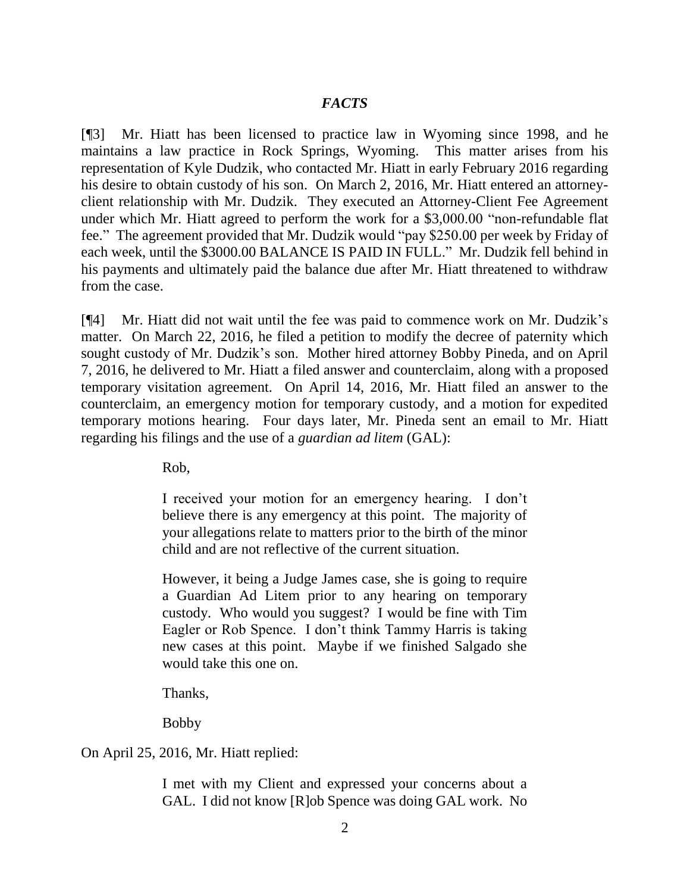### *FACTS*

[¶3] Mr. Hiatt has been licensed to practice law in Wyoming since 1998, and he maintains a law practice in Rock Springs, Wyoming. This matter arises from his representation of Kyle Dudzik, who contacted Mr. Hiatt in early February 2016 regarding his desire to obtain custody of his son. On March 2, 2016, Mr. Hiatt entered an attorneyclient relationship with Mr. Dudzik. They executed an Attorney-Client Fee Agreement under which Mr. Hiatt agreed to perform the work for a \$3,000.00 "non-refundable flat fee." The agreement provided that Mr. Dudzik would "pay \$250.00 per week by Friday of each week, until the \$3000.00 BALANCE IS PAID IN FULL." Mr. Dudzik fell behind in his payments and ultimately paid the balance due after Mr. Hiatt threatened to withdraw from the case.

[¶4] Mr. Hiatt did not wait until the fee was paid to commence work on Mr. Dudzik's matter. On March 22, 2016, he filed a petition to modify the decree of paternity which sought custody of Mr. Dudzik's son. Mother hired attorney Bobby Pineda, and on April 7, 2016, he delivered to Mr. Hiatt a filed answer and counterclaim, along with a proposed temporary visitation agreement. On April 14, 2016, Mr. Hiatt filed an answer to the counterclaim, an emergency motion for temporary custody, and a motion for expedited temporary motions hearing. Four days later, Mr. Pineda sent an email to Mr. Hiatt regarding his filings and the use of a *guardian ad litem* (GAL):

Rob,

I received your motion for an emergency hearing. I don't believe there is any emergency at this point. The majority of your allegations relate to matters prior to the birth of the minor child and are not reflective of the current situation.

However, it being a Judge James case, she is going to require a Guardian Ad Litem prior to any hearing on temporary custody. Who would you suggest? I would be fine with Tim Eagler or Rob Spence. I don't think Tammy Harris is taking new cases at this point. Maybe if we finished Salgado she would take this one on.

Thanks,

Bobby

On April 25, 2016, Mr. Hiatt replied:

I met with my Client and expressed your concerns about a GAL. I did not know [R]ob Spence was doing GAL work. No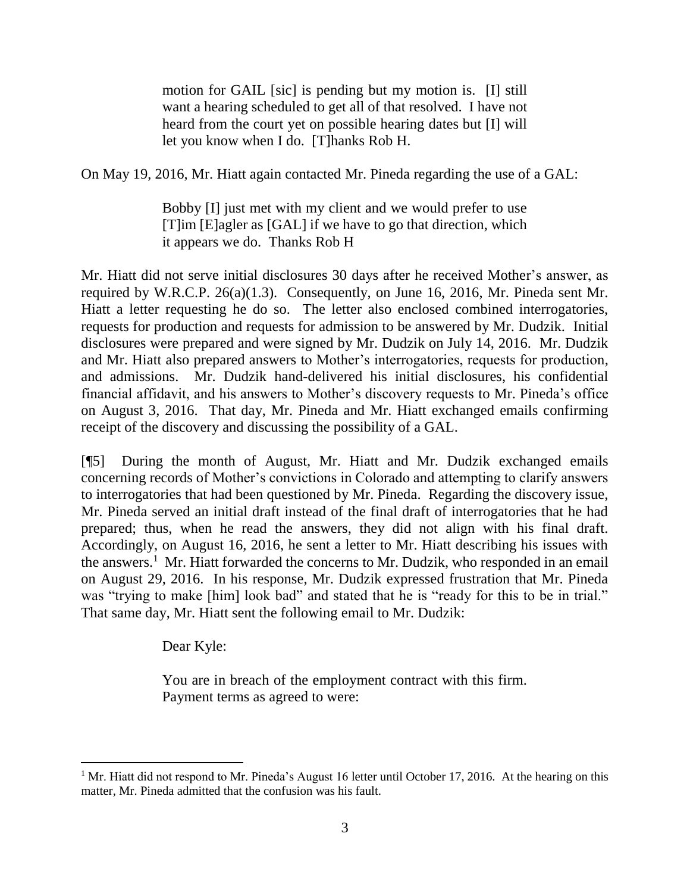motion for GAIL [sic] is pending but my motion is. [I] still want a hearing scheduled to get all of that resolved. I have not heard from the court yet on possible hearing dates but [I] will let you know when I do. [T]hanks Rob H.

On May 19, 2016, Mr. Hiatt again contacted Mr. Pineda regarding the use of a GAL:

Bobby [I] just met with my client and we would prefer to use [T]im [E]agler as [GAL] if we have to go that direction, which it appears we do. Thanks Rob H

Mr. Hiatt did not serve initial disclosures 30 days after he received Mother's answer, as required by W.R.C.P. 26(a)(1.3). Consequently, on June 16, 2016, Mr. Pineda sent Mr. Hiatt a letter requesting he do so. The letter also enclosed combined interrogatories, requests for production and requests for admission to be answered by Mr. Dudzik. Initial disclosures were prepared and were signed by Mr. Dudzik on July 14, 2016. Mr. Dudzik and Mr. Hiatt also prepared answers to Mother's interrogatories, requests for production, and admissions. Mr. Dudzik hand-delivered his initial disclosures, his confidential financial affidavit, and his answers to Mother's discovery requests to Mr. Pineda's office on August 3, 2016. That day, Mr. Pineda and Mr. Hiatt exchanged emails confirming receipt of the discovery and discussing the possibility of a GAL.

[¶5] During the month of August, Mr. Hiatt and Mr. Dudzik exchanged emails concerning records of Mother's convictions in Colorado and attempting to clarify answers to interrogatories that had been questioned by Mr. Pineda. Regarding the discovery issue, Mr. Pineda served an initial draft instead of the final draft of interrogatories that he had prepared; thus, when he read the answers, they did not align with his final draft. Accordingly, on August 16, 2016, he sent a letter to Mr. Hiatt describing his issues with the answers.<sup>1</sup> Mr. Hiatt forwarded the concerns to Mr. Dudzik, who responded in an email on August 29, 2016. In his response, Mr. Dudzik expressed frustration that Mr. Pineda was "trying to make [him] look bad" and stated that he is "ready for this to be in trial." That same day, Mr. Hiatt sent the following email to Mr. Dudzik:

Dear Kyle:

You are in breach of the employment contract with this firm. Payment terms as agreed to were:

<sup>&</sup>lt;sup>1</sup> Mr. Hiatt did not respond to Mr. Pineda's August 16 letter until October 17, 2016. At the hearing on this matter, Mr. Pineda admitted that the confusion was his fault.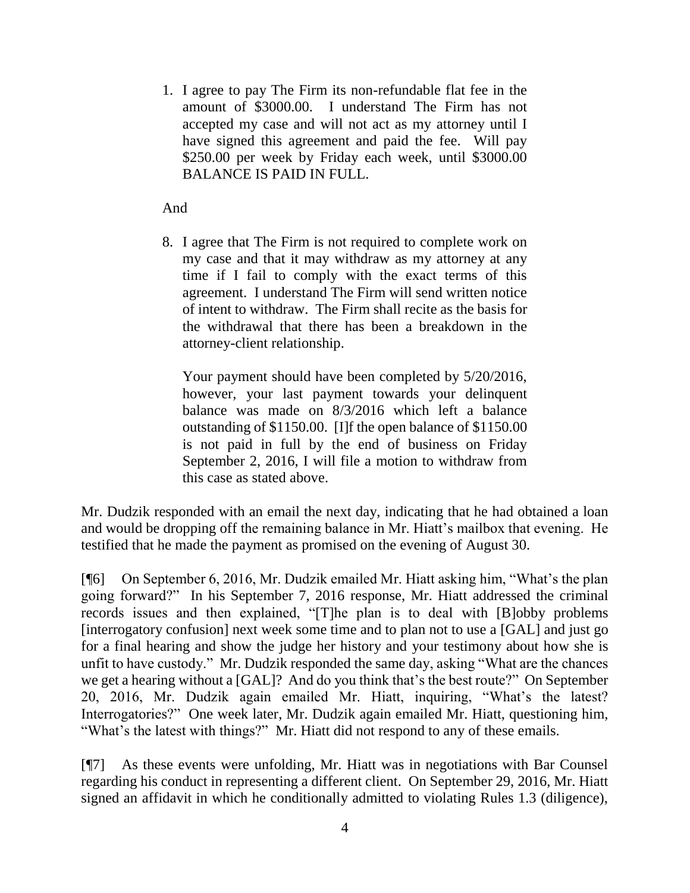1. I agree to pay The Firm its non-refundable flat fee in the amount of \$3000.00. I understand The Firm has not accepted my case and will not act as my attorney until I have signed this agreement and paid the fee. Will pay \$250.00 per week by Friday each week, until \$3000.00 BALANCE IS PAID IN FULL.

### And

8. I agree that The Firm is not required to complete work on my case and that it may withdraw as my attorney at any time if I fail to comply with the exact terms of this agreement. I understand The Firm will send written notice of intent to withdraw. The Firm shall recite as the basis for the withdrawal that there has been a breakdown in the attorney-client relationship.

Your payment should have been completed by 5/20/2016, however, your last payment towards your delinquent balance was made on 8/3/2016 which left a balance outstanding of \$1150.00. [I]f the open balance of \$1150.00 is not paid in full by the end of business on Friday September 2, 2016, I will file a motion to withdraw from this case as stated above.

Mr. Dudzik responded with an email the next day, indicating that he had obtained a loan and would be dropping off the remaining balance in Mr. Hiatt's mailbox that evening. He testified that he made the payment as promised on the evening of August 30.

[¶6] On September 6, 2016, Mr. Dudzik emailed Mr. Hiatt asking him, "What's the plan going forward?" In his September 7, 2016 response, Mr. Hiatt addressed the criminal records issues and then explained, "[T]he plan is to deal with [B]obby problems [interrogatory confusion] next week some time and to plan not to use a [GAL] and just go for a final hearing and show the judge her history and your testimony about how she is unfit to have custody." Mr. Dudzik responded the same day, asking "What are the chances we get a hearing without a [GAL]? And do you think that's the best route?" On September 20, 2016, Mr. Dudzik again emailed Mr. Hiatt, inquiring, "What's the latest? Interrogatories?" One week later, Mr. Dudzik again emailed Mr. Hiatt, questioning him, "What's the latest with things?" Mr. Hiatt did not respond to any of these emails.

[¶7] As these events were unfolding, Mr. Hiatt was in negotiations with Bar Counsel regarding his conduct in representing a different client. On September 29, 2016, Mr. Hiatt signed an affidavit in which he conditionally admitted to violating Rules 1.3 (diligence),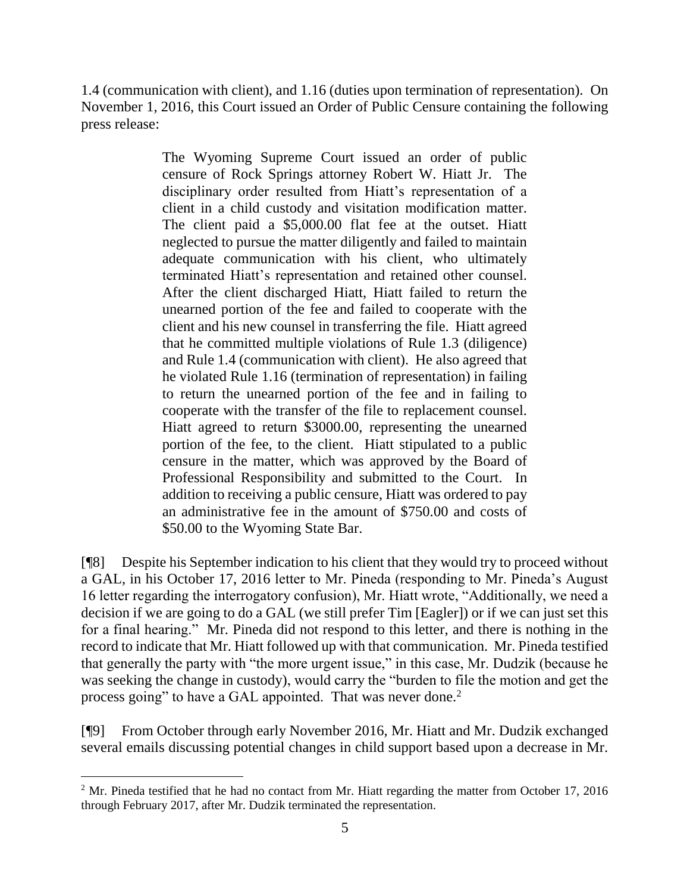1.4 (communication with client), and 1.16 (duties upon termination of representation). On November 1, 2016, this Court issued an Order of Public Censure containing the following press release:

> The Wyoming Supreme Court issued an order of public censure of Rock Springs attorney Robert W. Hiatt Jr. The disciplinary order resulted from Hiatt's representation of a client in a child custody and visitation modification matter. The client paid a \$5,000.00 flat fee at the outset. Hiatt neglected to pursue the matter diligently and failed to maintain adequate communication with his client, who ultimately terminated Hiatt's representation and retained other counsel. After the client discharged Hiatt, Hiatt failed to return the unearned portion of the fee and failed to cooperate with the client and his new counsel in transferring the file. Hiatt agreed that he committed multiple violations of Rule 1.3 (diligence) and Rule 1.4 (communication with client). He also agreed that he violated Rule 1.16 (termination of representation) in failing to return the unearned portion of the fee and in failing to cooperate with the transfer of the file to replacement counsel. Hiatt agreed to return \$3000.00, representing the unearned portion of the fee, to the client. Hiatt stipulated to a public censure in the matter, which was approved by the Board of Professional Responsibility and submitted to the Court. In addition to receiving a public censure, Hiatt was ordered to pay an administrative fee in the amount of \$750.00 and costs of \$50.00 to the Wyoming State Bar.

[¶8] Despite his September indication to his client that they would try to proceed without a GAL, in his October 17, 2016 letter to Mr. Pineda (responding to Mr. Pineda's August 16 letter regarding the interrogatory confusion), Mr. Hiatt wrote, "Additionally, we need a decision if we are going to do a GAL (we still prefer Tim [Eagler]) or if we can just set this for a final hearing." Mr. Pineda did not respond to this letter, and there is nothing in the record to indicate that Mr. Hiatt followed up with that communication. Mr. Pineda testified that generally the party with "the more urgent issue," in this case, Mr. Dudzik (because he was seeking the change in custody), would carry the "burden to file the motion and get the process going" to have a GAL appointed. That was never done.<sup>2</sup>

[¶9] From October through early November 2016, Mr. Hiatt and Mr. Dudzik exchanged several emails discussing potential changes in child support based upon a decrease in Mr.

<sup>&</sup>lt;sup>2</sup> Mr. Pineda testified that he had no contact from Mr. Hiatt regarding the matter from October 17, 2016 through February 2017, after Mr. Dudzik terminated the representation.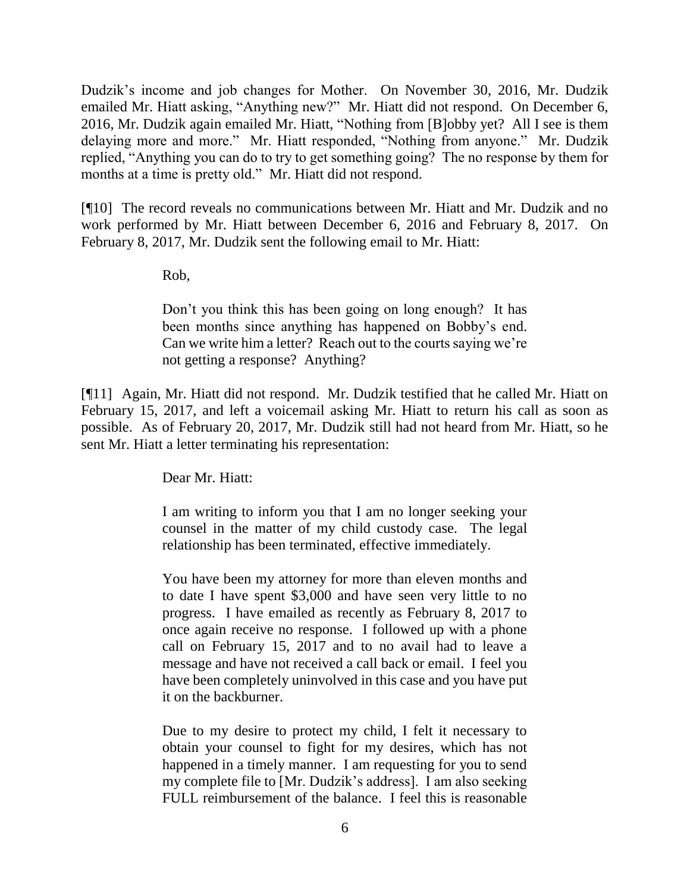Dudzik's income and job changes for Mother. On November 30, 2016, Mr. Dudzik emailed Mr. Hiatt asking, "Anything new?" Mr. Hiatt did not respond. On December 6, 2016, Mr. Dudzik again emailed Mr. Hiatt, "Nothing from [B]obby yet? All I see is them delaying more and more." Mr. Hiatt responded, "Nothing from anyone." Mr. Dudzik replied, "Anything you can do to try to get something going? The no response by them for months at a time is pretty old." Mr. Hiatt did not respond.

[¶10] The record reveals no communications between Mr. Hiatt and Mr. Dudzik and no work performed by Mr. Hiatt between December 6, 2016 and February 8, 2017. On February 8, 2017, Mr. Dudzik sent the following email to Mr. Hiatt:

Rob,

Don't you think this has been going on long enough? It has been months since anything has happened on Bobby's end. Can we write him a letter? Reach out to the courts saying we're not getting a response? Anything?

[¶11] Again, Mr. Hiatt did not respond. Mr. Dudzik testified that he called Mr. Hiatt on February 15, 2017, and left a voicemail asking Mr. Hiatt to return his call as soon as possible. As of February 20, 2017, Mr. Dudzik still had not heard from Mr. Hiatt, so he sent Mr. Hiatt a letter terminating his representation:

Dear Mr. Hiatt:

I am writing to inform you that I am no longer seeking your counsel in the matter of my child custody case. The legal relationship has been terminated, effective immediately.

You have been my attorney for more than eleven months and to date I have spent \$3,000 and have seen very little to no progress. I have emailed as recently as February 8, 2017 to once again receive no response. I followed up with a phone call on February 15, 2017 and to no avail had to leave a message and have not received a call back or email. I feel you have been completely uninvolved in this case and you have put it on the backburner.

Due to my desire to protect my child, I felt it necessary to obtain your counsel to fight for my desires, which has not happened in a timely manner. I am requesting for you to send my complete file to [Mr. Dudzik's address]. I am also seeking FULL reimbursement of the balance. I feel this is reasonable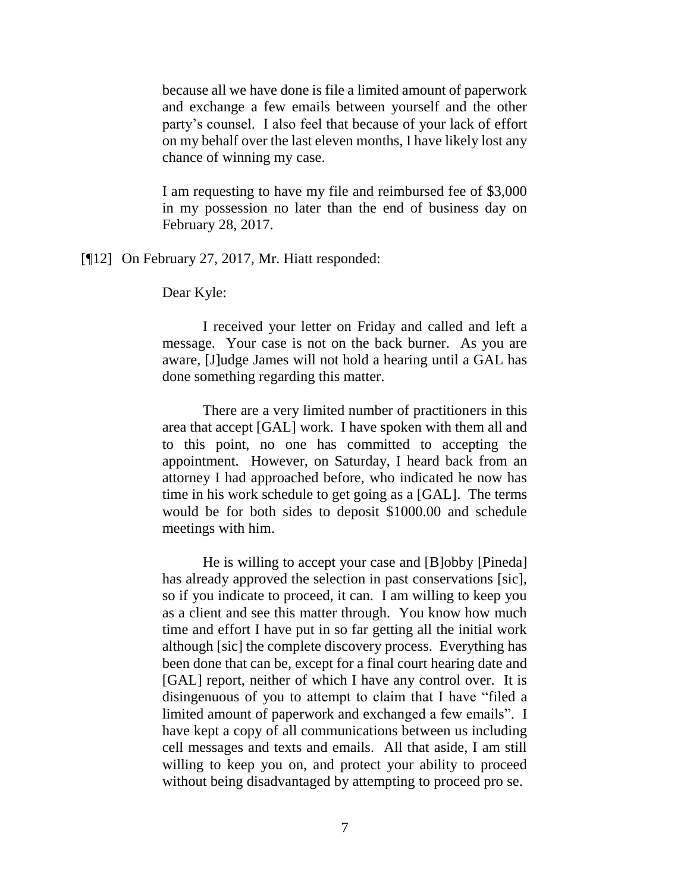because all we have done is file a limited amount of paperwork and exchange a few emails between yourself and the other party's counsel. I also feel that because of your lack of effort on my behalf over the last eleven months, I have likely lost any chance of winning my case.

I am requesting to have my file and reimbursed fee of \$3,000 in my possession no later than the end of business day on February 28, 2017.

[¶12] On February 27, 2017, Mr. Hiatt responded:

Dear Kyle:

I received your letter on Friday and called and left a message. Your case is not on the back burner. As you are aware, [J]udge James will not hold a hearing until a GAL has done something regarding this matter.

There are a very limited number of practitioners in this area that accept [GAL] work. I have spoken with them all and to this point, no one has committed to accepting the appointment. However, on Saturday, I heard back from an attorney I had approached before, who indicated he now has time in his work schedule to get going as a [GAL]. The terms would be for both sides to deposit \$1000.00 and schedule meetings with him.

He is willing to accept your case and [B]obby [Pineda] has already approved the selection in past conservations [sic], so if you indicate to proceed, it can. I am willing to keep you as a client and see this matter through. You know how much time and effort I have put in so far getting all the initial work although [sic] the complete discovery process. Everything has been done that can be, except for a final court hearing date and [GAL] report, neither of which I have any control over. It is disingenuous of you to attempt to claim that I have "filed a limited amount of paperwork and exchanged a few emails". I have kept a copy of all communications between us including cell messages and texts and emails. All that aside, I am still willing to keep you on, and protect your ability to proceed without being disadvantaged by attempting to proceed pro se.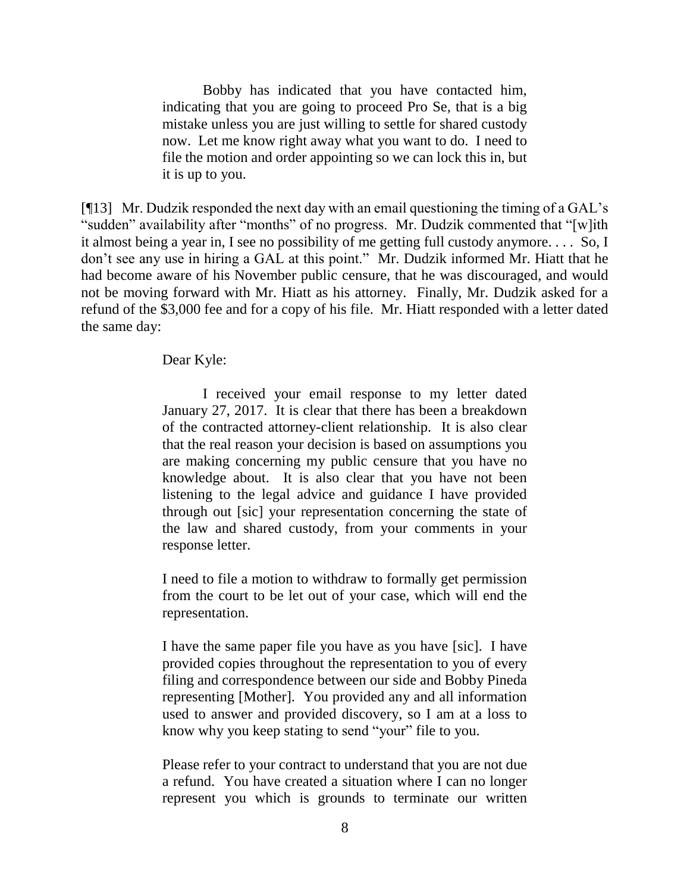Bobby has indicated that you have contacted him, indicating that you are going to proceed Pro Se, that is a big mistake unless you are just willing to settle for shared custody now. Let me know right away what you want to do. I need to file the motion and order appointing so we can lock this in, but it is up to you.

[¶13] Mr. Dudzik responded the next day with an email questioning the timing of a GAL's "sudden" availability after "months" of no progress. Mr. Dudzik commented that "[w]ith it almost being a year in, I see no possibility of me getting full custody anymore. . . . So, I don't see any use in hiring a GAL at this point." Mr. Dudzik informed Mr. Hiatt that he had become aware of his November public censure, that he was discouraged, and would not be moving forward with Mr. Hiatt as his attorney. Finally, Mr. Dudzik asked for a refund of the \$3,000 fee and for a copy of his file. Mr. Hiatt responded with a letter dated the same day:

Dear Kyle:

I received your email response to my letter dated January 27, 2017. It is clear that there has been a breakdown of the contracted attorney-client relationship. It is also clear that the real reason your decision is based on assumptions you are making concerning my public censure that you have no knowledge about. It is also clear that you have not been listening to the legal advice and guidance I have provided through out [sic] your representation concerning the state of the law and shared custody, from your comments in your response letter.

I need to file a motion to withdraw to formally get permission from the court to be let out of your case, which will end the representation.

I have the same paper file you have as you have [sic]. I have provided copies throughout the representation to you of every filing and correspondence between our side and Bobby Pineda representing [Mother]. You provided any and all information used to answer and provided discovery, so I am at a loss to know why you keep stating to send "your" file to you.

Please refer to your contract to understand that you are not due a refund. You have created a situation where I can no longer represent you which is grounds to terminate our written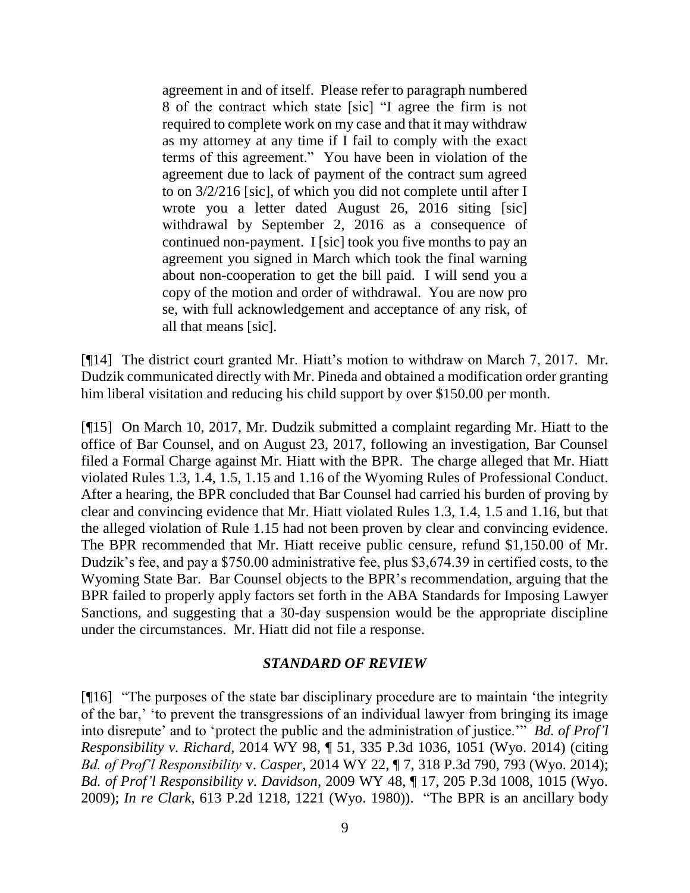agreement in and of itself. Please refer to paragraph numbered 8 of the contract which state [sic] "I agree the firm is not required to complete work on my case and that it may withdraw as my attorney at any time if I fail to comply with the exact terms of this agreement." You have been in violation of the agreement due to lack of payment of the contract sum agreed to on 3/2/216 [sic], of which you did not complete until after I wrote you a letter dated August 26, 2016 siting [sic] withdrawal by September 2, 2016 as a consequence of continued non-payment. I [sic] took you five months to pay an agreement you signed in March which took the final warning about non-cooperation to get the bill paid. I will send you a copy of the motion and order of withdrawal. You are now pro se, with full acknowledgement and acceptance of any risk, of all that means [sic].

[¶14] The district court granted Mr. Hiatt's motion to withdraw on March 7, 2017. Mr. Dudzik communicated directly with Mr. Pineda and obtained a modification order granting him liberal visitation and reducing his child support by over \$150.00 per month.

[¶15] On March 10, 2017, Mr. Dudzik submitted a complaint regarding Mr. Hiatt to the office of Bar Counsel, and on August 23, 2017, following an investigation, Bar Counsel filed a Formal Charge against Mr. Hiatt with the BPR. The charge alleged that Mr. Hiatt violated Rules 1.3, 1.4, 1.5, 1.15 and 1.16 of the Wyoming Rules of Professional Conduct. After a hearing, the BPR concluded that Bar Counsel had carried his burden of proving by clear and convincing evidence that Mr. Hiatt violated Rules 1.3, 1.4, 1.5 and 1.16, but that the alleged violation of Rule 1.15 had not been proven by clear and convincing evidence. The BPR recommended that Mr. Hiatt receive public censure, refund \$1,150.00 of Mr. Dudzik's fee, and pay a \$750.00 administrative fee, plus \$3,674.39 in certified costs, to the Wyoming State Bar. Bar Counsel objects to the BPR's recommendation, arguing that the BPR failed to properly apply factors set forth in the ABA Standards for Imposing Lawyer Sanctions, and suggesting that a 30-day suspension would be the appropriate discipline under the circumstances. Mr. Hiatt did not file a response.

#### *STANDARD OF REVIEW*

[¶16] "The purposes of the state bar disciplinary procedure are to maintain 'the integrity of the bar,' 'to prevent the transgressions of an individual lawyer from bringing its image into disrepute' and to 'protect the public and the administration of justice.'" *Bd. of Prof'l Responsibility v. Richard*, 2014 WY 98, ¶ 51, 335 P.3d 1036, 1051 (Wyo. 2014) (citing *Bd. of Prof'l Responsibility* v. *Casper*, 2014 WY 22, ¶ 7, 318 P.3d 790, 793 (Wyo. 2014); *Bd. of Prof'l Responsibility v. Davidson*, 2009 WY 48, ¶ 17, 205 P.3d 1008, 1015 (Wyo. 2009); *In re Clark*, 613 P.2d 1218, 1221 (Wyo. 1980)). "The BPR is an ancillary body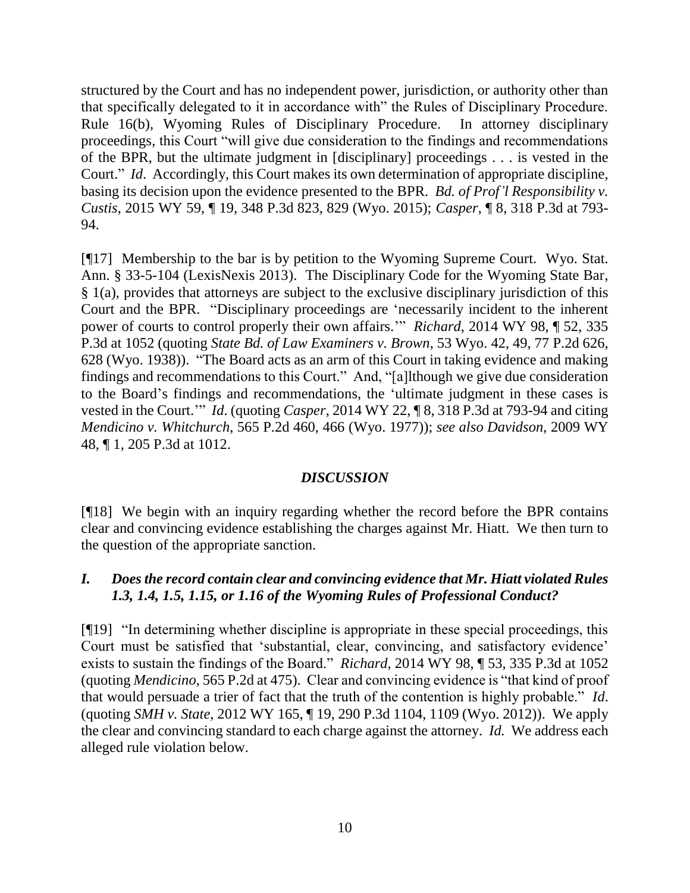structured by the Court and has no independent power, jurisdiction, or authority other than that specifically delegated to it in accordance with" the Rules of Disciplinary Procedure. Rule 16(b), Wyoming Rules of Disciplinary Procedure. In attorney disciplinary proceedings, this Court "will give due consideration to the findings and recommendations of the BPR, but the ultimate judgment in [disciplinary] proceedings . . . is vested in the Court." *Id*. Accordingly, this Court makes its own determination of appropriate discipline, basing its decision upon the evidence presented to the BPR. *Bd. of Prof'l Responsibility v. Custis*, 2015 WY 59, ¶ 19, 348 P.3d 823, 829 (Wyo. 2015); *Casper*, ¶ 8, 318 P.3d at 793- 94.

[¶17] Membership to the bar is by petition to the Wyoming Supreme Court. Wyo. Stat. Ann. § 33-5-104 (LexisNexis 2013). The Disciplinary Code for the Wyoming State Bar,  $§$  1(a), provides that attorneys are subject to the exclusive disciplinary jurisdiction of this Court and the BPR. "Disciplinary proceedings are 'necessarily incident to the inherent power of courts to control properly their own affairs.'" *Richard*, 2014 WY 98, ¶ 52, 335 P.3d at 1052 (quoting *State Bd. of Law Examiners v. Brown*, 53 Wyo. 42, 49, 77 P.2d 626, 628 (Wyo. 1938)). "The Board acts as an arm of this Court in taking evidence and making findings and recommendations to this Court." And, "[a]lthough we give due consideration to the Board's findings and recommendations, the 'ultimate judgment in these cases is vested in the Court.'" *Id*. (quoting *Casper*, 2014 WY 22, ¶ 8, 318 P.3d at 793-94 and citing *Mendicino v. Whitchurch*, 565 P.2d 460, 466 (Wyo. 1977)); *see also Davidson*, 2009 WY 48, ¶ 1, 205 P.3d at 1012.

## *DISCUSSION*

[¶18] We begin with an inquiry regarding whether the record before the BPR contains clear and convincing evidence establishing the charges against Mr. Hiatt. We then turn to the question of the appropriate sanction.

## *I. Does the record contain clear and convincing evidence that Mr. Hiatt violated Rules 1.3, 1.4, 1.5, 1.15, or 1.16 of the Wyoming Rules of Professional Conduct?*

[¶19] "In determining whether discipline is appropriate in these special proceedings, this Court must be satisfied that 'substantial, clear, convincing, and satisfactory evidence' exists to sustain the findings of the Board." *Richard*, 2014 WY 98, ¶ 53, 335 P.3d at 1052 (quoting *Mendicino*, 565 P.2d at 475). Clear and convincing evidence is "that kind of proof that would persuade a trier of fact that the truth of the contention is highly probable." *Id*. (quoting *SMH v. State*, 2012 WY 165, ¶ 19, 290 P.3d 1104, 1109 (Wyo. 2012)). We apply the clear and convincing standard to each charge against the attorney. *Id.* We address each alleged rule violation below.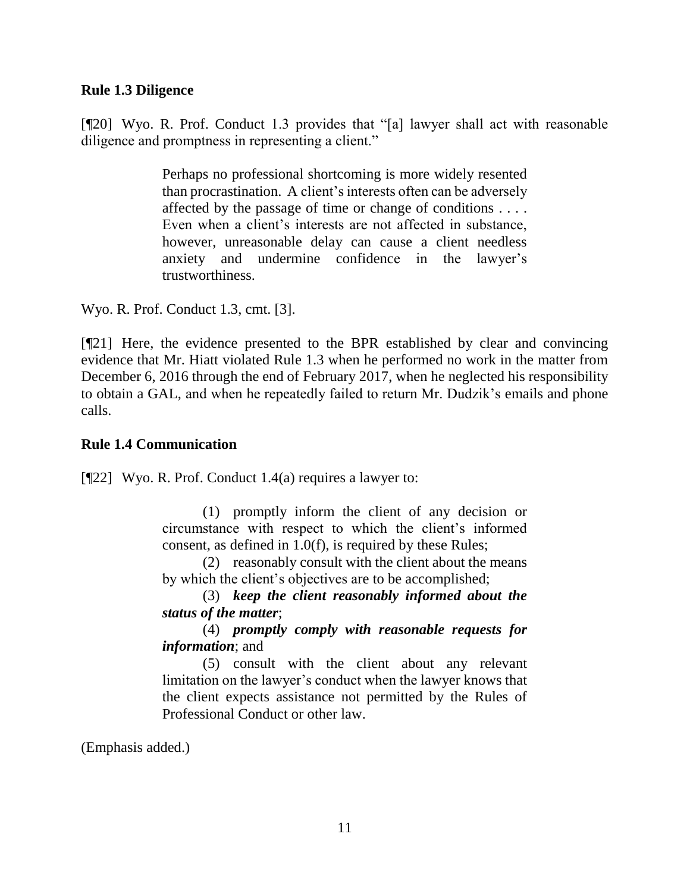#### **Rule 1.3 Diligence**

[¶20] Wyo. R. Prof. Conduct 1.3 provides that "[a] lawyer shall act with reasonable diligence and promptness in representing a client."

> Perhaps no professional shortcoming is more widely resented than procrastination. A client's interests often can be adversely affected by the passage of time or change of conditions . . . . Even when a client's interests are not affected in substance, however, unreasonable delay can cause a client needless anxiety and undermine confidence in the lawyer's trustworthiness.

Wyo. R. Prof. Conduct 1.3, cmt. [3].

[¶21] Here, the evidence presented to the BPR established by clear and convincing evidence that Mr. Hiatt violated Rule 1.3 when he performed no work in the matter from December 6, 2016 through the end of February 2017, when he neglected his responsibility to obtain a GAL, and when he repeatedly failed to return Mr. Dudzik's emails and phone calls.

#### **Rule 1.4 Communication**

[¶22] Wyo. R. Prof. Conduct 1.4(a) requires a lawyer to:

(1) promptly inform the client of any decision or circumstance with respect to which the client's informed consent, as defined in 1.0(f), is required by these Rules;

(2) reasonably consult with the client about the means by which the client's objectives are to be accomplished;

(3) *keep the client reasonably informed about the status of the matter*;

(4) *promptly comply with reasonable requests for information*; and

(5) consult with the client about any relevant limitation on the lawyer's conduct when the lawyer knows that the client expects assistance not permitted by the Rules of Professional Conduct or other law.

(Emphasis added.)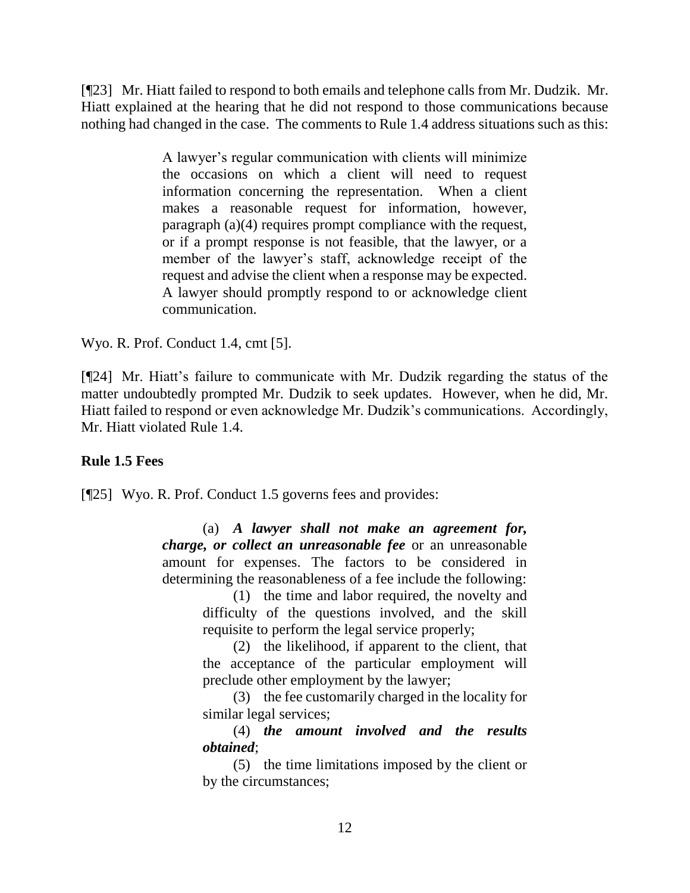[¶23] Mr. Hiatt failed to respond to both emails and telephone calls from Mr. Dudzik. Mr. Hiatt explained at the hearing that he did not respond to those communications because nothing had changed in the case. The comments to Rule 1.4 address situations such as this:

> A lawyer's regular communication with clients will minimize the occasions on which a client will need to request information concerning the representation. When a client makes a reasonable request for information, however, paragraph (a)(4) requires prompt compliance with the request, or if a prompt response is not feasible, that the lawyer, or a member of the lawyer's staff, acknowledge receipt of the request and advise the client when a response may be expected. A lawyer should promptly respond to or acknowledge client communication.

Wyo. R. Prof. Conduct 1.4, cmt [5].

[¶24] Mr. Hiatt's failure to communicate with Mr. Dudzik regarding the status of the matter undoubtedly prompted Mr. Dudzik to seek updates. However, when he did, Mr. Hiatt failed to respond or even acknowledge Mr. Dudzik's communications. Accordingly, Mr. Hiatt violated Rule 1.4.

## **Rule 1.5 Fees**

[¶25] Wyo. R. Prof. Conduct 1.5 governs fees and provides:

(a) *A lawyer shall not make an agreement for, charge, or collect an unreasonable fee* or an unreasonable amount for expenses. The factors to be considered in determining the reasonableness of a fee include the following:

(1) the time and labor required, the novelty and difficulty of the questions involved, and the skill requisite to perform the legal service properly;

(2) the likelihood, if apparent to the client, that the acceptance of the particular employment will preclude other employment by the lawyer;

(3) the fee customarily charged in the locality for similar legal services:

(4) *the amount involved and the results obtained*;

(5) the time limitations imposed by the client or by the circumstances;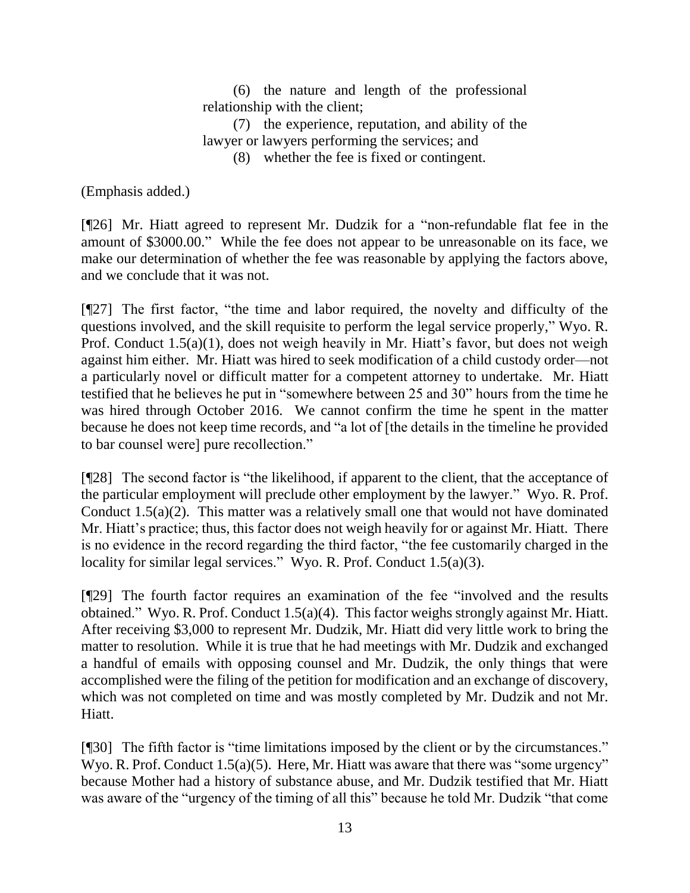(6) the nature and length of the professional relationship with the client;

(7) the experience, reputation, and ability of the lawyer or lawyers performing the services; and

(8) whether the fee is fixed or contingent.

(Emphasis added.)

[¶26] Mr. Hiatt agreed to represent Mr. Dudzik for a "non-refundable flat fee in the amount of \$3000.00." While the fee does not appear to be unreasonable on its face, we make our determination of whether the fee was reasonable by applying the factors above, and we conclude that it was not.

[¶27] The first factor, "the time and labor required, the novelty and difficulty of the questions involved, and the skill requisite to perform the legal service properly," Wyo. R. Prof. Conduct 1.5(a)(1), does not weigh heavily in Mr. Hiatt's favor, but does not weigh against him either. Mr. Hiatt was hired to seek modification of a child custody order—not a particularly novel or difficult matter for a competent attorney to undertake. Mr. Hiatt testified that he believes he put in "somewhere between 25 and 30" hours from the time he was hired through October 2016. We cannot confirm the time he spent in the matter because he does not keep time records, and "a lot of [the details in the timeline he provided to bar counsel were] pure recollection."

[¶28] The second factor is "the likelihood, if apparent to the client, that the acceptance of the particular employment will preclude other employment by the lawyer." Wyo. R. Prof. Conduct 1.5(a)(2). This matter was a relatively small one that would not have dominated Mr. Hiatt's practice; thus, this factor does not weigh heavily for or against Mr. Hiatt. There is no evidence in the record regarding the third factor, "the fee customarily charged in the locality for similar legal services." Wyo. R. Prof. Conduct 1.5(a)(3).

[¶29] The fourth factor requires an examination of the fee "involved and the results obtained." Wyo. R. Prof. Conduct 1.5(a)(4). This factor weighs strongly against Mr. Hiatt. After receiving \$3,000 to represent Mr. Dudzik, Mr. Hiatt did very little work to bring the matter to resolution. While it is true that he had meetings with Mr. Dudzik and exchanged a handful of emails with opposing counsel and Mr. Dudzik, the only things that were accomplished were the filing of the petition for modification and an exchange of discovery, which was not completed on time and was mostly completed by Mr. Dudzik and not Mr. Hiatt.

[¶30] The fifth factor is "time limitations imposed by the client or by the circumstances." Wyo. R. Prof. Conduct 1.5(a)(5). Here, Mr. Hiatt was aware that there was "some urgency" because Mother had a history of substance abuse, and Mr. Dudzik testified that Mr. Hiatt was aware of the "urgency of the timing of all this" because he told Mr. Dudzik "that come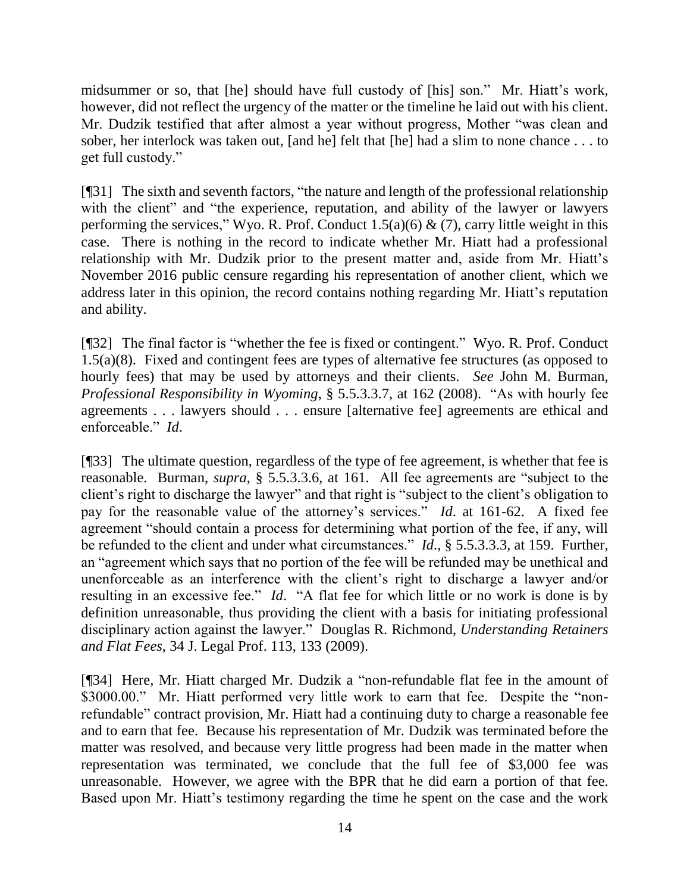midsummer or so, that [he] should have full custody of [his] son." Mr. Hiatt's work, however, did not reflect the urgency of the matter or the timeline he laid out with his client. Mr. Dudzik testified that after almost a year without progress, Mother "was clean and sober, her interlock was taken out, [and he] felt that [he] had a slim to none chance . . . to get full custody."

[¶31] The sixth and seventh factors, "the nature and length of the professional relationship with the client" and "the experience, reputation, and ability of the lawyer or lawyers performing the services," Wyo. R. Prof. Conduct  $1.5(a)(6)$  & (7), carry little weight in this case. There is nothing in the record to indicate whether Mr. Hiatt had a professional relationship with Mr. Dudzik prior to the present matter and, aside from Mr. Hiatt's November 2016 public censure regarding his representation of another client, which we address later in this opinion, the record contains nothing regarding Mr. Hiatt's reputation and ability.

[¶32] The final factor is "whether the fee is fixed or contingent." Wyo. R. Prof. Conduct 1.5(a)(8). Fixed and contingent fees are types of alternative fee structures (as opposed to hourly fees) that may be used by attorneys and their clients. *See* John M. Burman, *Professional Responsibility in Wyoming*, § 5.5.3.3.7, at 162 (2008). "As with hourly fee agreements . . . lawyers should . . . ensure [alternative fee] agreements are ethical and enforceable." *Id*.

[¶33] The ultimate question, regardless of the type of fee agreement, is whether that fee is reasonable. Burman, *supra*, § 5.5.3.3.6, at 161. All fee agreements are "subject to the client's right to discharge the lawyer" and that right is "subject to the client's obligation to pay for the reasonable value of the attorney's services." *Id*. at 161-62. A fixed fee agreement "should contain a process for determining what portion of the fee, if any, will be refunded to the client and under what circumstances." *Id*., § 5.5.3.3.3, at 159. Further, an "agreement which says that no portion of the fee will be refunded may be unethical and unenforceable as an interference with the client's right to discharge a lawyer and/or resulting in an excessive fee." *Id*. "A flat fee for which little or no work is done is by definition unreasonable, thus providing the client with a basis for initiating professional disciplinary action against the lawyer." Douglas R. Richmond, *Understanding Retainers and Flat Fees*, 34 J. Legal Prof. 113, 133 (2009).

[¶34] Here, Mr. Hiatt charged Mr. Dudzik a "non-refundable flat fee in the amount of \$3000.00." Mr. Hiatt performed very little work to earn that fee. Despite the "nonrefundable" contract provision, Mr. Hiatt had a continuing duty to charge a reasonable fee and to earn that fee. Because his representation of Mr. Dudzik was terminated before the matter was resolved, and because very little progress had been made in the matter when representation was terminated, we conclude that the full fee of \$3,000 fee was unreasonable. However, we agree with the BPR that he did earn a portion of that fee. Based upon Mr. Hiatt's testimony regarding the time he spent on the case and the work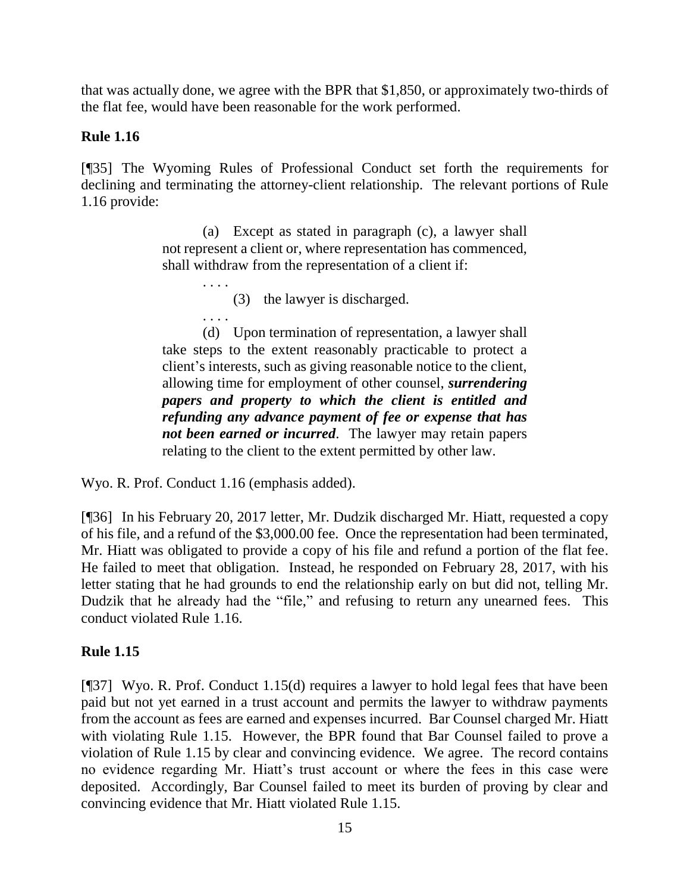that was actually done, we agree with the BPR that \$1,850, or approximately two-thirds of the flat fee, would have been reasonable for the work performed.

## **Rule 1.16**

[¶35] The Wyoming Rules of Professional Conduct set forth the requirements for declining and terminating the attorney-client relationship. The relevant portions of Rule 1.16 provide:

> (a) Except as stated in paragraph (c), a lawyer shall not represent a client or, where representation has commenced, shall withdraw from the representation of a client if:

> > . . . . (3) the lawyer is discharged.

. . . . (d) Upon termination of representation, a lawyer shall take steps to the extent reasonably practicable to protect a client's interests, such as giving reasonable notice to the client, allowing time for employment of other counsel, *surrendering papers and property to which the client is entitled and refunding any advance payment of fee or expense that has not been earned or incurred*. The lawyer may retain papers relating to the client to the extent permitted by other law.

Wyo. R. Prof. Conduct 1.16 (emphasis added).

[¶36] In his February 20, 2017 letter, Mr. Dudzik discharged Mr. Hiatt, requested a copy of his file, and a refund of the \$3,000.00 fee. Once the representation had been terminated, Mr. Hiatt was obligated to provide a copy of his file and refund a portion of the flat fee. He failed to meet that obligation. Instead, he responded on February 28, 2017, with his letter stating that he had grounds to end the relationship early on but did not, telling Mr. Dudzik that he already had the "file," and refusing to return any unearned fees. This conduct violated Rule 1.16.

## **Rule 1.15**

[¶37] Wyo. R. Prof. Conduct 1.15(d) requires a lawyer to hold legal fees that have been paid but not yet earned in a trust account and permits the lawyer to withdraw payments from the account as fees are earned and expenses incurred. Bar Counsel charged Mr. Hiatt with violating Rule 1.15. However, the BPR found that Bar Counsel failed to prove a violation of Rule 1.15 by clear and convincing evidence. We agree. The record contains no evidence regarding Mr. Hiatt's trust account or where the fees in this case were deposited. Accordingly, Bar Counsel failed to meet its burden of proving by clear and convincing evidence that Mr. Hiatt violated Rule 1.15.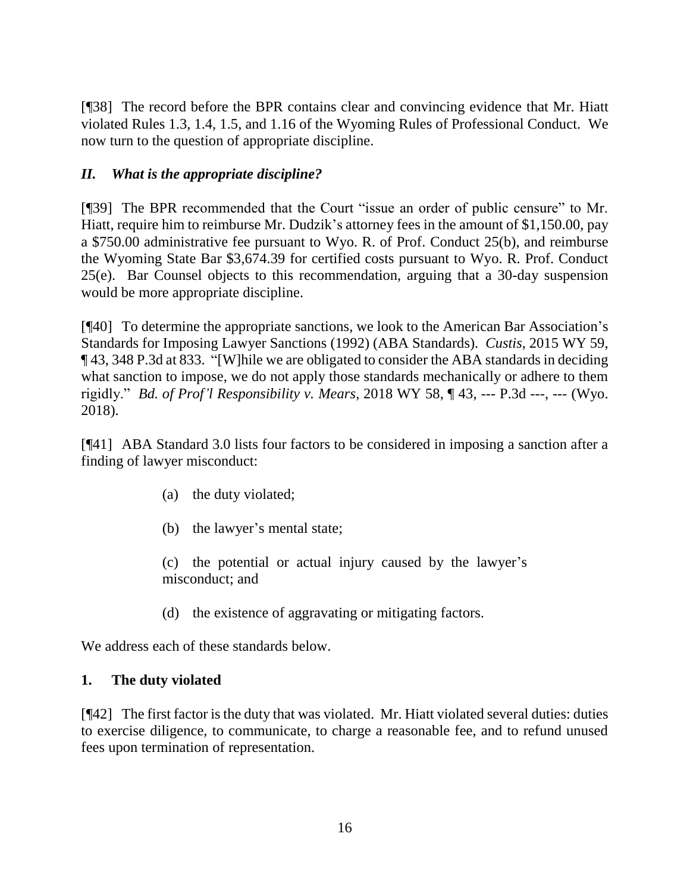[¶38] The record before the BPR contains clear and convincing evidence that Mr. Hiatt violated Rules 1.3, 1.4, 1.5, and 1.16 of the Wyoming Rules of Professional Conduct. We now turn to the question of appropriate discipline.

# *II. What is the appropriate discipline?*

[¶39] The BPR recommended that the Court "issue an order of public censure" to Mr. Hiatt, require him to reimburse Mr. Dudzik's attorney fees in the amount of \$1,150.00, pay a \$750.00 administrative fee pursuant to Wyo. R. of Prof. Conduct 25(b), and reimburse the Wyoming State Bar \$3,674.39 for certified costs pursuant to Wyo. R. Prof. Conduct 25(e). Bar Counsel objects to this recommendation, arguing that a 30-day suspension would be more appropriate discipline.

[¶40] To determine the appropriate sanctions, we look to the American Bar Association's Standards for Imposing Lawyer Sanctions (1992) (ABA Standards). *Custis*, 2015 WY 59, ¶ 43, 348 P.3d at 833. "[W]hile we are obligated to consider the ABA standards in deciding what sanction to impose, we do not apply those standards mechanically or adhere to them rigidly." *Bd. of Prof'l Responsibility v. Mears*, 2018 WY 58, ¶ 43, --- P.3d ---, --- (Wyo. 2018).

[¶41] ABA Standard 3.0 lists four factors to be considered in imposing a sanction after a finding of lawyer misconduct:

- (a) the duty violated;
- (b) the lawyer's mental state;

(c) the potential or actual injury caused by the lawyer's misconduct; and

(d) the existence of aggravating or mitigating factors.

We address each of these standards below.

## **1. The duty violated**

[¶42] The first factor is the duty that was violated. Mr. Hiatt violated several duties: duties to exercise diligence, to communicate, to charge a reasonable fee, and to refund unused fees upon termination of representation.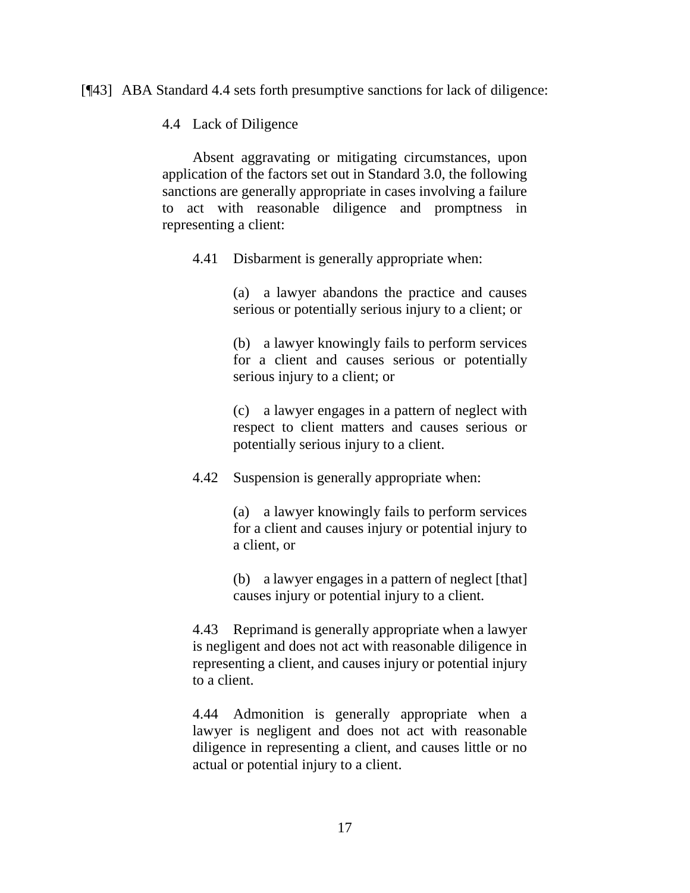[¶43] ABA Standard 4.4 sets forth presumptive sanctions for lack of diligence:

4.4 Lack of Diligence

Absent aggravating or mitigating circumstances, upon application of the factors set out in Standard 3.0, the following sanctions are generally appropriate in cases involving a failure to act with reasonable diligence and promptness in representing a client:

4.41 Disbarment is generally appropriate when:

(a) a lawyer abandons the practice and causes serious or potentially serious injury to a client; or

(b) a lawyer knowingly fails to perform services for a client and causes serious or potentially serious injury to a client; or

(c) a lawyer engages in a pattern of neglect with respect to client matters and causes serious or potentially serious injury to a client.

4.42 Suspension is generally appropriate when:

(a) a lawyer knowingly fails to perform services for a client and causes injury or potential injury to a client, or

(b) a lawyer engages in a pattern of neglect [that] causes injury or potential injury to a client.

4.43 Reprimand is generally appropriate when a lawyer is negligent and does not act with reasonable diligence in representing a client, and causes injury or potential injury to a client.

4.44 Admonition is generally appropriate when a lawyer is negligent and does not act with reasonable diligence in representing a client, and causes little or no actual or potential injury to a client.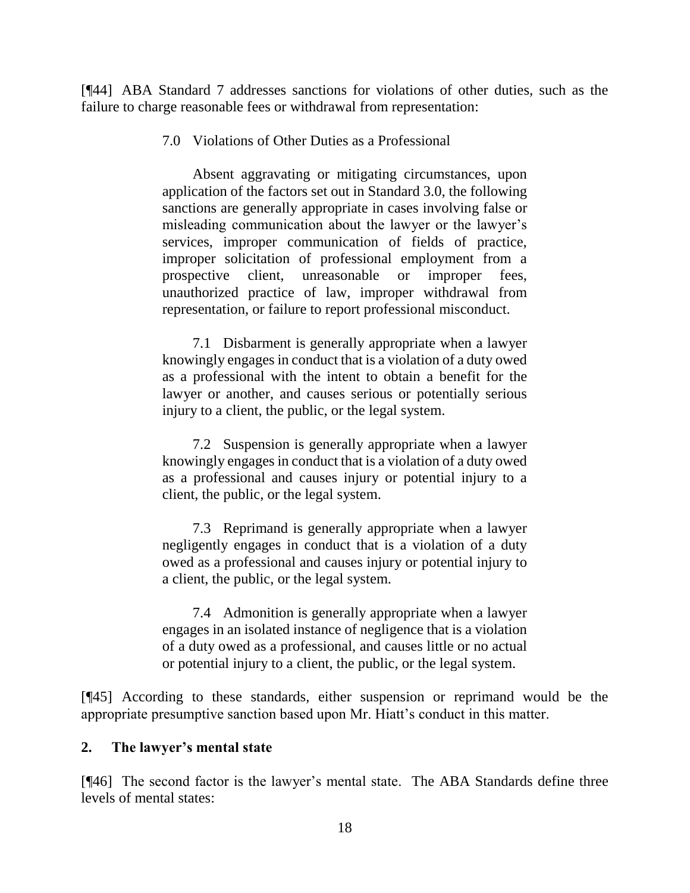[¶44] ABA Standard 7 addresses sanctions for violations of other duties, such as the failure to charge reasonable fees or withdrawal from representation:

7.0 Violations of Other Duties as a Professional

Absent aggravating or mitigating circumstances, upon application of the factors set out in Standard 3.0, the following sanctions are generally appropriate in cases involving false or misleading communication about the lawyer or the lawyer's services, improper communication of fields of practice, improper solicitation of professional employment from a prospective client, unreasonable or improper fees, unauthorized practice of law, improper withdrawal from representation, or failure to report professional misconduct.

7.1 Disbarment is generally appropriate when a lawyer knowingly engages in conduct that is a violation of a duty owed as a professional with the intent to obtain a benefit for the lawyer or another, and causes serious or potentially serious injury to a client, the public, or the legal system.

7.2 Suspension is generally appropriate when a lawyer knowingly engages in conduct that is a violation of a duty owed as a professional and causes injury or potential injury to a client, the public, or the legal system.

7.3 Reprimand is generally appropriate when a lawyer negligently engages in conduct that is a violation of a duty owed as a professional and causes injury or potential injury to a client, the public, or the legal system.

7.4 Admonition is generally appropriate when a lawyer engages in an isolated instance of negligence that is a violation of a duty owed as a professional, and causes little or no actual or potential injury to a client, the public, or the legal system.

[¶45] According to these standards, either suspension or reprimand would be the appropriate presumptive sanction based upon Mr. Hiatt's conduct in this matter.

## **2. The lawyer's mental state**

[¶46] The second factor is the lawyer's mental state. The ABA Standards define three levels of mental states: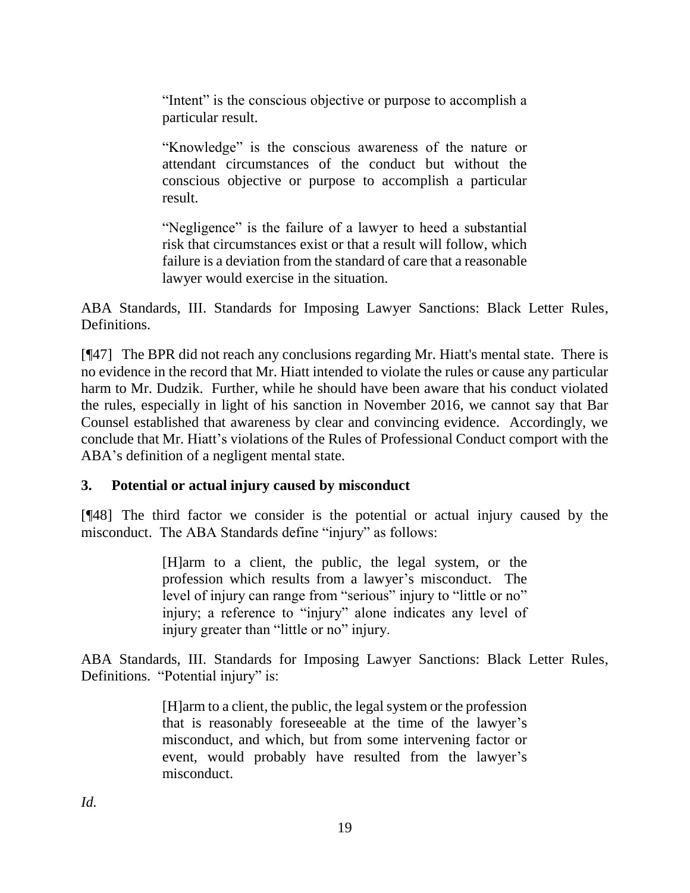"Intent" is the conscious objective or purpose to accomplish a particular result.

"Knowledge" is the conscious awareness of the nature or attendant circumstances of the conduct but without the conscious objective or purpose to accomplish a particular result.

"Negligence" is the failure of a lawyer to heed a substantial risk that circumstances exist or that a result will follow, which failure is a deviation from the standard of care that a reasonable lawyer would exercise in the situation.

ABA Standards, III. Standards for Imposing Lawyer Sanctions: Black Letter Rules, Definitions.

[¶47] The BPR did not reach any conclusions regarding Mr. Hiatt's mental state. There is no evidence in the record that Mr. Hiatt intended to violate the rules or cause any particular harm to Mr. Dudzik. Further, while he should have been aware that his conduct violated the rules, especially in light of his sanction in November 2016, we cannot say that Bar Counsel established that awareness by clear and convincing evidence. Accordingly, we conclude that Mr. Hiatt's violations of the Rules of Professional Conduct comport with the ABA's definition of a negligent mental state.

## **3. Potential or actual injury caused by misconduct**

[¶48] The third factor we consider is the potential or actual injury caused by the misconduct. The ABA Standards define "injury" as follows:

> [H]arm to a client, the public, the legal system, or the profession which results from a lawyer's misconduct. The level of injury can range from "serious" injury to "little or no" injury; a reference to "injury" alone indicates any level of injury greater than "little or no" injury.

ABA Standards, III. Standards for Imposing Lawyer Sanctions: Black Letter Rules, Definitions. "Potential injury" is:

> [H]arm to a client, the public, the legal system or the profession that is reasonably foreseeable at the time of the lawyer's misconduct, and which, but from some intervening factor or event, would probably have resulted from the lawyer's misconduct.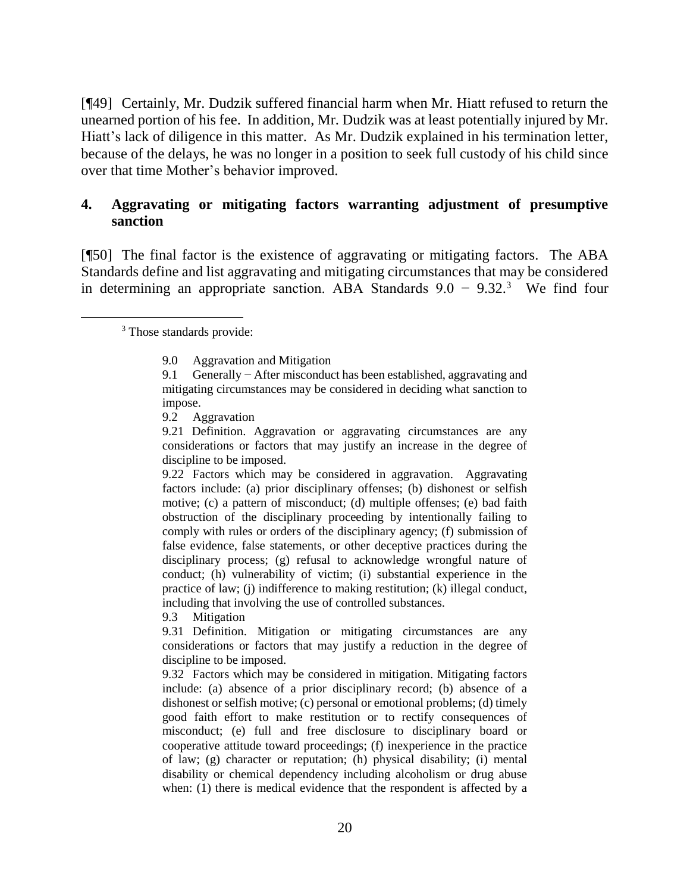[¶49] Certainly, Mr. Dudzik suffered financial harm when Mr. Hiatt refused to return the unearned portion of his fee. In addition, Mr. Dudzik was at least potentially injured by Mr. Hiatt's lack of diligence in this matter. As Mr. Dudzik explained in his termination letter, because of the delays, he was no longer in a position to seek full custody of his child since over that time Mother's behavior improved.

## **4. Aggravating or mitigating factors warranting adjustment of presumptive sanction**

[¶50] The final factor is the existence of aggravating or mitigating factors. The ABA Standards define and list aggravating and mitigating circumstances that may be considered in determining an appropriate sanction. ABA Standards  $9.0 - 9.32$ <sup>3</sup> We find four

<sup>3</sup> Those standards provide:

9.3 Mitigation

9.31 Definition. Mitigation or mitigating circumstances are any considerations or factors that may justify a reduction in the degree of discipline to be imposed.

9.32 Factors which may be considered in mitigation. Mitigating factors include: (a) absence of a prior disciplinary record; (b) absence of a dishonest or selfish motive; (c) personal or emotional problems; (d) timely good faith effort to make restitution or to rectify consequences of misconduct; (e) full and free disclosure to disciplinary board or cooperative attitude toward proceedings; (f) inexperience in the practice of law; (g) character or reputation; (h) physical disability; (i) mental disability or chemical dependency including alcoholism or drug abuse when: (1) there is medical evidence that the respondent is affected by a

<sup>9.0</sup> Aggravation and Mitigation

<sup>9.1</sup> Generally − After misconduct has been established, aggravating and mitigating circumstances may be considered in deciding what sanction to impose.

<sup>9.2</sup> Aggravation

<sup>9.21</sup> Definition. Aggravation or aggravating circumstances are any considerations or factors that may justify an increase in the degree of discipline to be imposed.

<sup>9.22</sup> Factors which may be considered in aggravation. Aggravating factors include: (a) prior disciplinary offenses; (b) dishonest or selfish motive; (c) a pattern of misconduct; (d) multiple offenses; (e) bad faith obstruction of the disciplinary proceeding by intentionally failing to comply with rules or orders of the disciplinary agency; (f) submission of false evidence, false statements, or other deceptive practices during the disciplinary process; (g) refusal to acknowledge wrongful nature of conduct; (h) vulnerability of victim; (i) substantial experience in the practice of law; (j) indifference to making restitution; (k) illegal conduct, including that involving the use of controlled substances.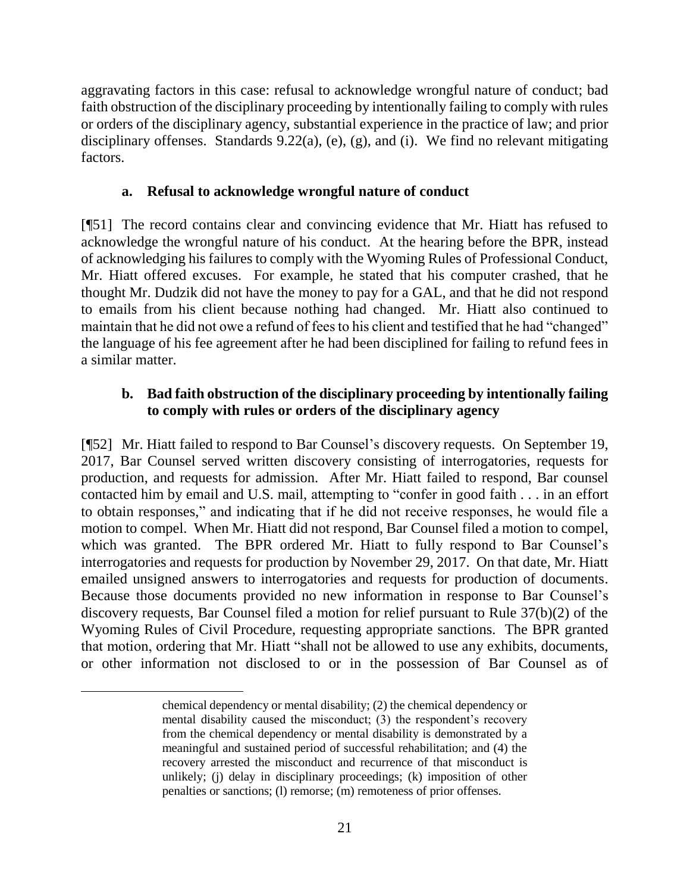aggravating factors in this case: refusal to acknowledge wrongful nature of conduct; bad faith obstruction of the disciplinary proceeding by intentionally failing to comply with rules or orders of the disciplinary agency, substantial experience in the practice of law; and prior disciplinary offenses. Standards 9.22(a), (e), (g), and (i). We find no relevant mitigating factors.

## **a. Refusal to acknowledge wrongful nature of conduct**

[¶51] The record contains clear and convincing evidence that Mr. Hiatt has refused to acknowledge the wrongful nature of his conduct. At the hearing before the BPR, instead of acknowledging his failures to comply with the Wyoming Rules of Professional Conduct, Mr. Hiatt offered excuses. For example, he stated that his computer crashed, that he thought Mr. Dudzik did not have the money to pay for a GAL, and that he did not respond to emails from his client because nothing had changed. Mr. Hiatt also continued to maintain that he did not owe a refund of fees to his client and testified that he had "changed" the language of his fee agreement after he had been disciplined for failing to refund fees in a similar matter.

## **b. Bad faith obstruction of the disciplinary proceeding by intentionally failing to comply with rules or orders of the disciplinary agency**

[¶52] Mr. Hiatt failed to respond to Bar Counsel's discovery requests. On September 19, 2017, Bar Counsel served written discovery consisting of interrogatories, requests for production, and requests for admission. After Mr. Hiatt failed to respond, Bar counsel contacted him by email and U.S. mail, attempting to "confer in good faith . . . in an effort to obtain responses," and indicating that if he did not receive responses, he would file a motion to compel. When Mr. Hiatt did not respond, Bar Counsel filed a motion to compel, which was granted. The BPR ordered Mr. Hiatt to fully respond to Bar Counsel's interrogatories and requests for production by November 29, 2017. On that date, Mr. Hiatt emailed unsigned answers to interrogatories and requests for production of documents. Because those documents provided no new information in response to Bar Counsel's discovery requests, Bar Counsel filed a motion for relief pursuant to Rule 37(b)(2) of the Wyoming Rules of Civil Procedure, requesting appropriate sanctions. The BPR granted that motion, ordering that Mr. Hiatt "shall not be allowed to use any exhibits, documents, or other information not disclosed to or in the possession of Bar Counsel as of

chemical dependency or mental disability; (2) the chemical dependency or mental disability caused the misconduct; (3) the respondent's recovery from the chemical dependency or mental disability is demonstrated by a meaningful and sustained period of successful rehabilitation; and (4) the recovery arrested the misconduct and recurrence of that misconduct is unlikely; (j) delay in disciplinary proceedings; (k) imposition of other penalties or sanctions; (l) remorse; (m) remoteness of prior offenses.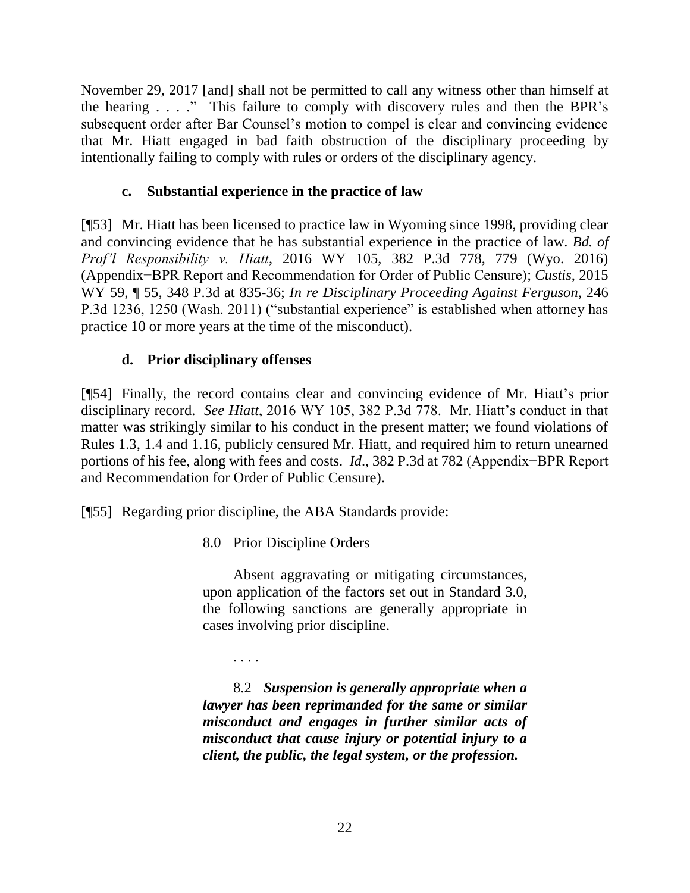November 29, 2017 [and] shall not be permitted to call any witness other than himself at the hearing . . . ." This failure to comply with discovery rules and then the BPR's subsequent order after Bar Counsel's motion to compel is clear and convincing evidence that Mr. Hiatt engaged in bad faith obstruction of the disciplinary proceeding by intentionally failing to comply with rules or orders of the disciplinary agency.

## **c. Substantial experience in the practice of law**

[¶53] Mr. Hiatt has been licensed to practice law in Wyoming since 1998, providing clear and convincing evidence that he has substantial experience in the practice of law. *Bd. of Prof'l Responsibility v. Hiatt*, 2016 WY 105, 382 P.3d 778, 779 (Wyo. 2016) (Appendix−BPR Report and Recommendation for Order of Public Censure); *Custis*, 2015 WY 59, ¶ 55, 348 P.3d at 835-36; *In re Disciplinary Proceeding Against Ferguson*, 246 P.3d 1236, 1250 (Wash. 2011) ("substantial experience" is established when attorney has practice 10 or more years at the time of the misconduct).

# **d. Prior disciplinary offenses**

[¶54] Finally, the record contains clear and convincing evidence of Mr. Hiatt's prior disciplinary record. *See Hiatt*, 2016 WY 105, 382 P.3d 778. Mr. Hiatt's conduct in that matter was strikingly similar to his conduct in the present matter; we found violations of Rules 1.3, 1.4 and 1.16, publicly censured Mr. Hiatt, and required him to return unearned portions of his fee, along with fees and costs. *Id*., 382 P.3d at 782 (Appendix−BPR Report and Recommendation for Order of Public Censure).

[¶55] Regarding prior discipline, the ABA Standards provide:

8.0 Prior Discipline Orders

Absent aggravating or mitigating circumstances, upon application of the factors set out in Standard 3.0, the following sanctions are generally appropriate in cases involving prior discipline.

. . . .

8.2 *Suspension is generally appropriate when a lawyer has been reprimanded for the same or similar misconduct and engages in further similar acts of misconduct that cause injury or potential injury to a client, the public, the legal system, or the profession.*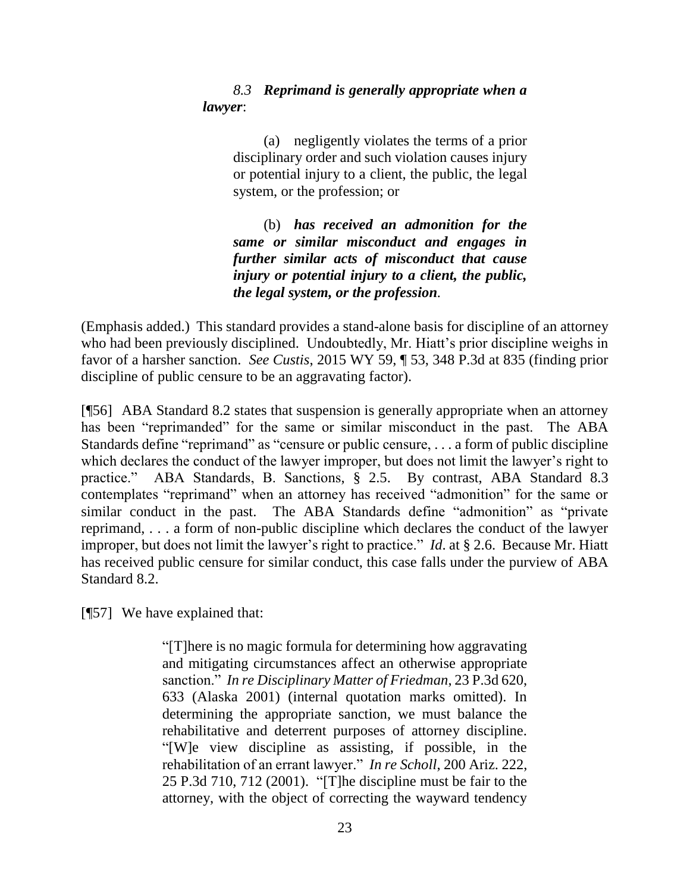## *8.3 Reprimand is generally appropriate when a lawyer*:

(a) negligently violates the terms of a prior disciplinary order and such violation causes injury or potential injury to a client, the public, the legal system, or the profession; or

(b) *has received an admonition for the same or similar misconduct and engages in further similar acts of misconduct that cause injury or potential injury to a client, the public, the legal system, or the profession.*

(Emphasis added.) This standard provides a stand-alone basis for discipline of an attorney who had been previously disciplined. Undoubtedly, Mr. Hiatt's prior discipline weighs in favor of a harsher sanction. *See Custis*, 2015 WY 59, ¶ 53, 348 P.3d at 835 (finding prior discipline of public censure to be an aggravating factor).

[¶56] ABA Standard 8.2 states that suspension is generally appropriate when an attorney has been "reprimanded" for the same or similar misconduct in the past. The ABA Standards define "reprimand" as "censure or public censure, ... a form of public discipline which declares the conduct of the lawyer improper, but does not limit the lawyer's right to practice." ABA Standards, B. Sanctions, § 2.5. By contrast, ABA Standard 8.3 contemplates "reprimand" when an attorney has received "admonition" for the same or similar conduct in the past. The ABA Standards define "admonition" as "private reprimand, . . . a form of non-public discipline which declares the conduct of the lawyer improper, but does not limit the lawyer's right to practice." *Id*. at § 2.6. Because Mr. Hiatt has received public censure for similar conduct, this case falls under the purview of ABA Standard 8.2.

[¶57] We have explained that:

"[T]here is no magic formula for determining how aggravating and mitigating circumstances affect an otherwise appropriate sanction." *In re Disciplinary Matter of Friedman*, 23 P.3d 620, 633 (Alaska 2001) (internal quotation marks omitted). In determining the appropriate sanction, we must balance the rehabilitative and deterrent purposes of attorney discipline. "[W]e view discipline as assisting, if possible, in the rehabilitation of an errant lawyer." *In re Scholl*, 200 Ariz. 222, 25 P.3d 710, 712 (2001). "[T]he discipline must be fair to the attorney, with the object of correcting the wayward tendency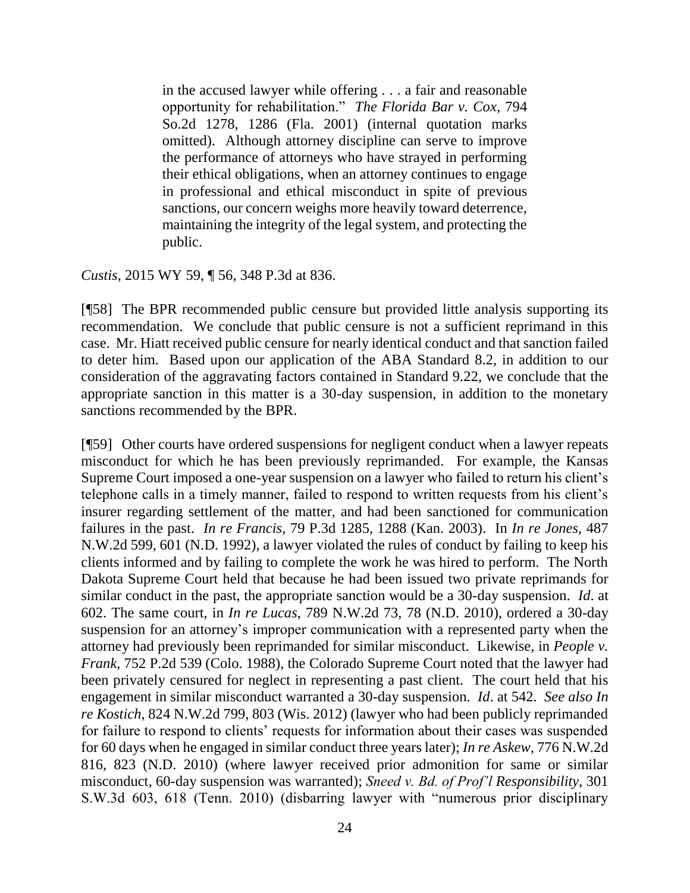in the accused lawyer while offering . . . a fair and reasonable opportunity for rehabilitation." *The Florida Bar v. Cox*, 794 So.2d 1278, 1286 (Fla. 2001) (internal quotation marks omitted). Although attorney discipline can serve to improve the performance of attorneys who have strayed in performing their ethical obligations, when an attorney continues to engage in professional and ethical misconduct in spite of previous sanctions, our concern weighs more heavily toward deterrence, maintaining the integrity of the legal system, and protecting the public.

*Custis*, 2015 WY 59, ¶ 56, 348 P.3d at 836.

[¶58] The BPR recommended public censure but provided little analysis supporting its recommendation. We conclude that public censure is not a sufficient reprimand in this case. Mr. Hiatt received public censure for nearly identical conduct and that sanction failed to deter him. Based upon our application of the ABA Standard 8.2, in addition to our consideration of the aggravating factors contained in Standard 9.22, we conclude that the appropriate sanction in this matter is a 30-day suspension, in addition to the monetary sanctions recommended by the BPR.

[¶59] Other courts have ordered suspensions for negligent conduct when a lawyer repeats misconduct for which he has been previously reprimanded. For example, the Kansas Supreme Court imposed a one-year suspension on a lawyer who failed to return his client's telephone calls in a timely manner, failed to respond to written requests from his client's insurer regarding settlement of the matter, and had been sanctioned for communication failures in the past. *In re Francis*, 79 P.3d 1285, 1288 (Kan. 2003). In *In re Jones*, 487 N.W.2d 599, 601 (N.D. 1992), a lawyer violated the rules of conduct by failing to keep his clients informed and by failing to complete the work he was hired to perform. The North Dakota Supreme Court held that because he had been issued two private reprimands for similar conduct in the past, the appropriate sanction would be a 30-day suspension. *Id*. at 602. The same court, in *In re Lucas*, 789 N.W.2d 73, 78 (N.D. 2010), ordered a 30-day suspension for an attorney's improper communication with a represented party when the attorney had previously been reprimanded for similar misconduct. Likewise, in *People v. Frank*, 752 P.2d 539 (Colo. 1988), the Colorado Supreme Court noted that the lawyer had been privately censured for neglect in representing a past client. The court held that his engagement in similar misconduct warranted a 30-day suspension. *Id*. at 542. *See also In re Kostich*, 824 N.W.2d 799, 803 (Wis. 2012) (lawyer who had been publicly reprimanded for failure to respond to clients' requests for information about their cases was suspended for 60 days when he engaged in similar conduct three years later); *In re Askew*, 776 N.W.2d 816, 823 (N.D. 2010) (where lawyer received prior admonition for same or similar misconduct, 60-day suspension was warranted); *Sneed v. Bd. of Prof'l Responsibility*, 301 S.W.3d 603, 618 (Tenn. 2010) (disbarring lawyer with "numerous prior disciplinary